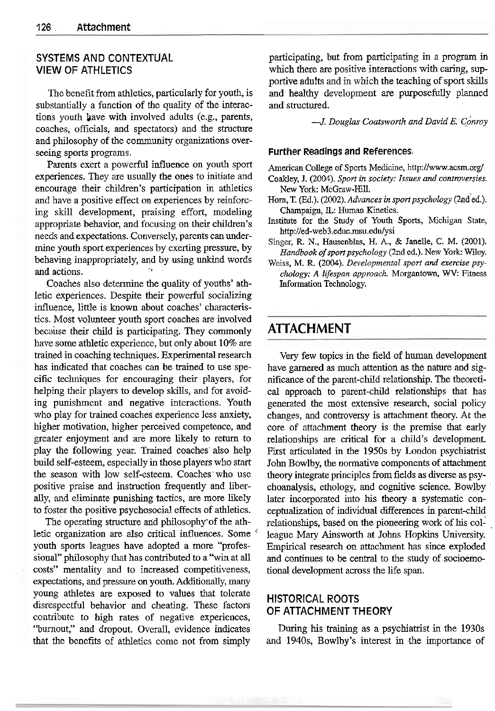### SYSTEMS AND CONTEXTUAL VIEW OF ATHLETICS

The benefit from athletics, particularly for youth, is substantially a function of the quality of the interactions youth have with involved adults (e.g., parents, coaches, officials, and spectators) and the structure and philosophy of the community organizations overseeing sports programs.

Parents exert a powerful influence on youth sport experiences. They are usually the ones to initiate and encourage their children's participation in athletics and have a positive effect on experiences by reinforcing skill development, praising effort, modeling appropriate behavior, and focusing on their children's needs and expectations. Conversely, parents can uudermine youth sport experiences by exerting pressure, by behaving inappropriately, and by using unkind words and actions.

Coaches also determine the quality of youths' athletic experiences. Despite their powerful socializing influence, little is known about coaches' characteristics. Most volunteer youth sport coaches are involved because their child is participating. They commonly have some athletic experience, but only about 10% are trained in coaching techniques. Experimental research has indicated that coaches can be trained to use specific techniques for encouraging their players, for helping their players to develop skills, and for avoiding punishment and negative interactions. Youth who play for trained coaches experience less anxiety, higher motivation, higher perceived competence, and greater enjoyment and are more likely to return to play the following year. Trained coaches also help build self-esteem, especially in those players who start the season with low self-esteem. Coaches who use positive praise and instruction frequently and liberally, and eliminate punishing tactics, are more likely to foster the positive psychosocial effects of athletics.

The operating structure and philosophy of the athletic organization are also critical influences. Some ' youth sports leagues have adopted a more "professional" philosophy that has contributed to a "win at all costs" mentality and to increased competitiveness, expectations, and pressure on youth. Additionally, many young athletes are exposed to values that tolerate disrespectful behavior and cheating. These factors contribute to high rates of negative experiences, "burnout," and dropout. Overall, evidence indicates that the benefits of athletics come not from simply

participating, but from. participating in a program in which there are positive interactions with caring, supportive adults and in which the teaching of sport skills and healthy development are purposefully planned and structured.

**-J.** *Douglas Coafswonh and David E. Conroy* 

#### **Further Readings and References,**

American College of Sports Medicine, http://www.acsm.org/ Coakley, J. (2004). *Sport in society: Issues and contmversies.*  New York: McGraw-Hill.

Horn, T. (Ed.). (2002). *Advances in sport psychology* (2nd ed.). Champaign, IL: Human Kinetics.

- Institute for the Study of Youth Sports, Michigan State, **http://ed-web3.educ.msu.edulysi**
- Singer, R. N., Hausenblas, H. **A,,** & Janelle, C. M. (2001). Handbook of sport psychology (2nd ed.). New York: Wiley.

Weiss, M. R. (2004). *Developmental sport* **and** *exercise psy*chology: A lifespan approach. Morgantown, WV: Fitness Information Technology.

# **ATTACHMENT**

Very few topics in the field of human development have garnered as much attention **as** the nature and significance of the parent-child relationship. The theoretical approach to parent-child relationships that has generated the most extensive research, social policy changes, and controversy is attachment theory. At the core of attachment theory is the premise that early relationships are critical for a child's development First articulated in the 1950s by London psychiatrist John Bowlby, the normative components of attachment theory integrate principles from fields **as** diverse as psychoanalysis, ethology, and cognitive science. Bowlby later incorporated into his theory a systematic conceptualization of individual differences in parent-child relationships, based on the pioneering work of his colleague Mary Ainsworth at Johns Hopkins University. Empirical research on attachment has since exploded and continues to be central to the study of socioemotional development across the life span.

## HISTORICAL ROOTS OF ATTACHMENT THEORY

During his training as a psychiatrist in the 1930s and 1940s, Bowlby's interest in the importance of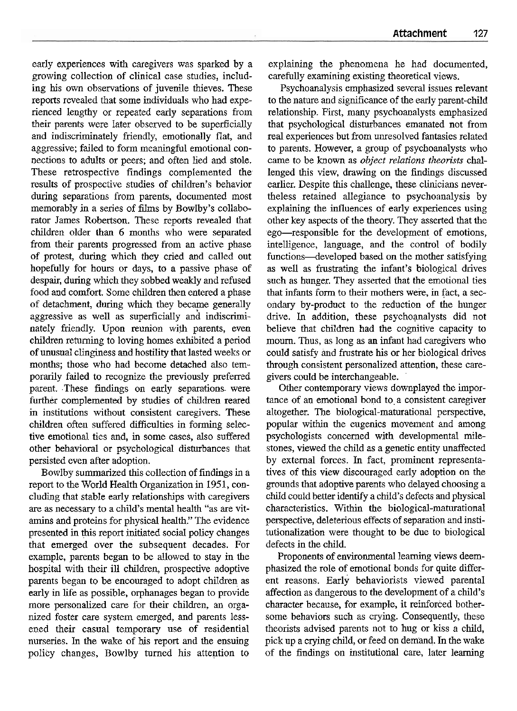early experiences with caregivers was sparked by a growing collection of clinical case studies, including his own observations of juvenile thieves. These reports revealed that some individuals who had experienced lengthy or repeated early separations from their parents were later observed to be superficially and indiscriminately friendly, emotionally flat, and aggressive; failed to form meaningful emotional connections to adults or peers; and often lied and stole. These retrospective findings complemented the results of prospective studies of children's behavior during separations from parents, documented most memorably in a series of films by Bowlby's collaborator James Robertson. These reports revealed that children older than *6* months who were separated from their parents progressed from an active phase of protest, during which they cried and called out hopefully for hours or days, to a passive phase of despair, during which they sobbed weakly and refused food and comfort. Some children then entered a phase of detachment, during which they became generally aggressive as well as superficially and indiscriminately friendly. Upon reunion with parents, even children returning to loving homes exhibited a period of unusual dinginess and hostility that lasted weeks or months; those who had become detached also temporarily failed to recognize the previously preferred parent. These findings on early separations were further complemented by studies of children reared in institutions without consistent caregivers. These children often suffered difficulties in forming selective emotional ties and, in some cases, also suffered other behavioral or psychological disturbances that persisted even after adoption.

Bowlby summarized this collection of findings in a report to the World Health Organization in 1951, concluding that stable early relationships with caregivers are **as** necessary to a child's mental health "as are vitamins and proteins for physical health." The evidence presented in this report initiated social policy changes that emerged over the subsequent decades. For example, parents began to be allowed to stay in the hospital with their ill children, prospective adoptive parents began to be encouraged to adopt children as early in life as possible, orphanages began to provide more personalized care for their children, an organized foster care system emerged, and parents lessened their casual temporary use of residential nurseries. In the wake of his report and the ensuing policy changes, Bowlby turned his attention to

explaining the phenomena he had documented, carefully examining existing theoretical views.

Psychoanalysis emphasized several issues relevant to the nature and significance of the early parent-child relationship. First, many psychoanalysts emphasized that psychological disturbances emanated not from real experiences but from unresolved fantasies related to parents. However, a group of psychoanalysts who came to be known as *object relations theorists* challenged this view, drawing on the findings discussed earlier. Despite this challenge, these clinicians nevertheless retained allegiance to psychoanalysis by explaining the influences of early experiences using other key aspects of the theory. They asserted that the ego-responsible for the development of emotions, intelligence, language, and the control of bodily functions—developed based on the mother satisfying as well as frustrating the infant's biological drives such as hunger. They asserted that the emotional ties that infants form to their mothers were, in fact, a secondary by-product to the reduction of the hunger drive. In addition, these psychoanalysts did not believe that children had the cognitive capacity to mourn. Thus, as long **as** an infant had caregivers who could satisfy and frustrate his or her biological drives through consistent personalized attention, these caregivers could be interchangeable.

Other contemporary views downplayed the importance of an emotional bond to a consistent caregiver altogether. The biological-maturational perspective, popular within the eugenics movement and among psychologists concerned with developmental milestones, viewed the child as a genetic entity unaffected by external forces. In fact, prominent representatives of this view discouraged early adoption on the grounds that adoptive parents who delayed choosing a child could better identify a child's defects and physical characteristics. Within the biological-maturational perspective, deleterious effects of separation and institutionalization were thought to be due to biological defects in the child.

Proponents of environmental learning views deemphasized the role of emotional bonds for quite different reasons. Early behaviorists viewed parental affection as dangerous to the development of a child's character because, for example, it reinforced bothersome behaviors such as crying. Consequently, these theorists advised parents not to hug or kiss a child, pick up a crying child, or feed on demand. In the wake of the findings on institutional care, later learning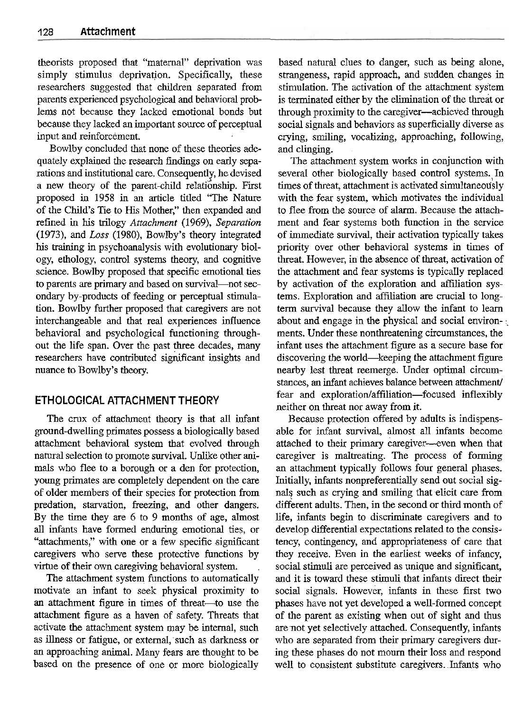theorists proposed that "maternal" deprivation was simply stimulus deprivation. Specifically, these researchers suggested that children separated from parents experienced psychological and behavioral problems not because they lacked emotional bonds but because they lacked an important source of perceptual input and reinforcement.

Bowlby concluded that none of these theories adequately explained the research findings on early separations and institutional care. Consequently, he devised a new theory of the parent-child relationship. First proposed in 1958 in an article titled "The Nature of the Child's Tie to His Mother," then expanded and refined in his trilogy *Attachment* (1969), *Separation*  (1973), and *Loss* (1980), Bowlby's theory integrated his training in psychoanalysis with evolutionary biology, ethology, control systems theory, and cognitive science. Bowlby proposed that specific emotional ties to parents are primary and based on survival-not secondary by-products of feeding or perceptual stimulation. Bowlby further proposed that caregivers are not interchangeable and that real experiences influence behavioral and psychological functioning throughout the life span. Over the past three decades, many researchers have contributed significant insights and nuance to Bowlby's theory.

### **ETHOLOGICAL ATTACHMENT THEORY**

The crux of attachment theory is that all infant ground-dwelling primates possess a biologically based attachment behavioral system that evolved through natural selection to promote survival. Unlike other animals who flee to a borough or a den for protection, young primates are completely dependent on the care of older members of their species for protection from predation, starvation, freezing, and other dangers. By the time they are 6 to 9 months of age, almost all infants have formed enduring emotional ties, or "attachments:' with one or a few specific significant caregivers who serve these protective functions by virtue of their own caregiving behavioral system.

The attachment system functions to automatically motivate an infant to seek physical proximity to an attachment figure in times of threat-to use the attachment figure as a haven of safety. Threats that activate the attachment system may be internal, such as illness or fatigue, or external, such as darkness or an approaching animal. Many fears are thought to be based on the presence of one or more biologically

based natural clues to danger, such as being alone, strangeness, rapid approach, and sudden changes in stimulation. The activation of the attachment system is terminated either by the elimination of the threat or through proximity to the caregiver-achieved through social signals and behaviors as superficially diverse as crying, smiling, vocalizing, approaching, following, and clinging.

The attachment system works in conjunction with several other biologically based control systems. In times of threat, attachment is activated simultaneously with the fear system, which motivates the individual to flee from the source of alarm. Because the attachment and fear systems both function in the service of immediate survival, their activation typically takes priority over other behavioral systems in times of threat. However, in the absence of threat, activation of the attachment and fear systems is typically replaced by activation of the exploration and affiliation systems. Exploration and affiliation are crucial to longterm survival because they allow the infant to leam about and engage in the physical and social environ- . ments. Under these nonthreatening circumstances, the infant uses the attachment figure as a secure base for discovering the world-keeping the attachment figure nearby lest threat reemerge. Under optimal circumstances, an infant achieves balance between attachment/ fear and exploration/affiliation-focused inflexibly neither on threat nor away from it.

Because protection offered by adults is indispensable for infant survival, almost all infants become attached to their primary caregiver--even when that caregiver is maltreating. The process of forming an attachment typically follows four general phases. Initially, infants nonpreferentially send out social signals such as crying and smiling that elicit care from different adults. Then, in the second or third month of life, infants begin to discriminate caregivers and to develop differential expectations related to the consistency, contingency, and appropriateness of care that they receive. Even in the earliest weeks of infancy, social stimuli are perceived as unique and significant, and it is toward these stimuli that infants direct their social signals. However, infants in these first two phases have not yet developed a well-formed concept of the parent as existing when out of sight and thus are not yet selectively attached. Consequently, infants who are separated from their primary caregivers during these phases do not mourn their loss and respond well to consistent substitute caregivers. Infants who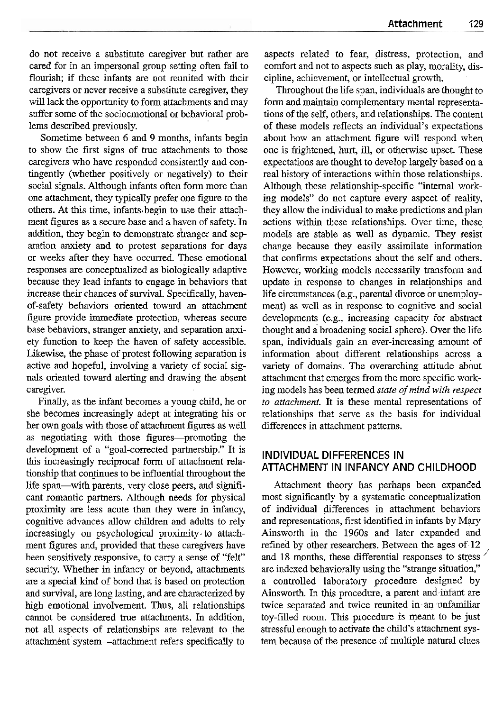do not receive a substitute caregiver but rather are cared for in an impersonal group setting often fail to flourish; if these infants are not reunited with their caregivers or never receive a substitute caregiver, they will lack the opportunity to form attachments and may suffer some of the socioemotional or behavioral problems described previously.

Sometime between 6 and 9 months, infants begin to show the first signs of true attachments to those caregivers who have responded consistently and contingently (whether positively or negatively) to their social signals. Although infants often form more than one attachment, they typically prefer one figure to the others. At this time, infants,begin to use their attachment figures as a secure base and a haveu of safety. In addition, they begin to demonstrate stranger and separation anxiety and to protest separations for days or weeks after they have occurred. These emotional responses are conceptualized as biologically adaptive because they lead infants to engage in behaviors that increase their chances of survival. Specifically, haveuof-safety behaviors oriented toward an attachment figure provide immediate protection, whereas secure base behaviors, stranger anxiety, and separation anxiety function to keep the haven of safety accessible. Likewise, the phase of protest following separation is active and hopeful, involving a variety of social signals oriented toward alerting and drawing the absent caregiver.

Finally, as the infant becomes a young child, he or she becomes increasingly adept at integrating his or her own goals with those of attachment figures as well as negotiating with those figures—promoting the development of a "goal-corrected partnership." It is this increasingly reciprocal form of attachment relationship that continues to be influential throughout the life span-with parents, very close peers, and significant romantic partners. Although needs for physical proximity are less acute than they were in infancy, cognitive advances allow children and adults to rely increasingly on psychological proximity, to attachment figures and, provided that these caregivers have been sensitively responsive, to cany a sense of "felt" security. Whether in infancy or beyond, attachments are a special kind of bond that is based on protection and survival, are long lasting, and are characterized by high emotional involvement. Thus, all relationships cannot be considered true attachments. In addition, not all aspects of relationships are relevant to the attachment system-attachment refers specifically to

aspects related to fear, distress, protection, and comfort and not to aspects such as play, morality, discipline, achievement, or intellectual growth.

Throughout the life span, individuals are thought to form and maintain complementary mental representations of the self, others, and relationships. The content of these models reflects an individual's expectations about how an attachment figure will respond when one is frightened, hurt, ill, or otherwise upset. These expectations are thought to develop largely based on a real history of interactions within those relationships. Although these relationship-specific "internal working models" do not capture every aspect of reality, they allow the individual to make predictions and plan actions within these relationships. Over time, these models are stable as well as dynamic. They resist change because they easily assimilate information that confirms expectations about the self and others. However, working models necessarily transform and update in response to changes in relationships and life circumstances (e.g., parental divorce or unemployment) as well as in response to cognitive and social developments (e.g., increasing capacity for abstract thought and a broadening social sphere). Over the life span, individuals gain an ever-increasing amount of information about different relationships across a variety of domains. The overarching attitude about attachment that emerges from the more specific working models has been termed *state of mind* **with** *respect to attachment.* It is these mental representations of relationships that serve as the basis for individual differences in attachment patterns.

## INDIVIDUAL DIFFERENCES IN ATTACHMENT IN INFANCY AND CHILDHOOD

Attachment theory has perhaps been expanded most significantly by a systematic conceptualization of individual differences in attachment behaviors and representations, first identified in infants by Mary Ainsworth in the 1960s and later expanded and refined by other researchers. Between the ages of 12 and representations, first identified in infants by Mary<br>Ainsworth in the 1960s and later expanded and<br>refined by other researchers. Between the ages of 12<br>and 18 months, these differential responses to stress  $\angle$ <br>are ind are indexed behaviorally using the "strange situation," a controlled laboratory procedure designed by Ainsworth. In this procedure, a parent and infant are twice separated and twice reunited in an unfamiliar toy-filled room. This procedure is meant to be just stressful enough to activate the child's attachment system because of the presence of multiple natural clues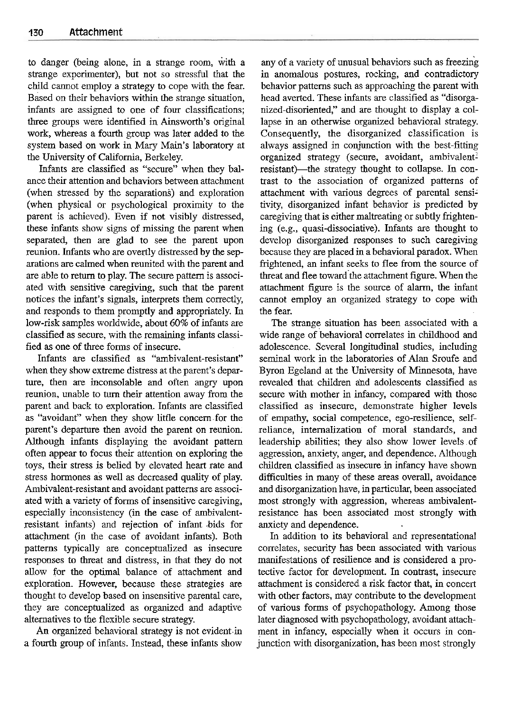to danger (being alone, in a strange room, with a strange experimenter), but not so stressful that the child cannot employ a strategy to cope with the fear. Based on their behaviors within the strange situation, infants are assigned to one of four classifications; three groups were identified in Ainsworth's original work, whereas a fourth group was later added to the system based on work in Mary Main's laboratory at the University of California, Berkeley.

Infants are classified as "secure" when they balance their attention and behaviors between attachment (when stressed by the separations) and exploration (when physical or psychological proximity to the parent is achieved). Even if not visibly distressed, these infants show signs of missing the parent when separated, then are glad to see the parent upon reunion. Infants who are overtly distressed by the separations are calmed when reunited with the parent and are able to return to play. The secure pattern is associated with sensitive caregiving, such that the parent notices the infant's signals, interprets them correctly, and responds to them promptly and appropriately. In low-risk samples worldwide, about 60% of infants are classified as secure, with the remaining infants classified as one of three forms of insecure.

Infants are classified as "ambivalent-resistant" when they show extreme distress at the parent's departure, then are inconsolable and often angry upon reunion, unable to turn their attention away from the parent and back to exploration. Infants are classified as "avoidant" when they show little concern for the parent's departure then avoid the parent on reunion. Although infants displaying the avoidant pattern often appear to focus their attention on exploring the toys, their stress is belied by elevated heart rate and stress hormones as well as decreased quality of play. Ambivalent-resistant and avoidant patterns are associated with a variety of forms of insensitive caregiving, especially inconsistency (in the case of ambivalentresistant infants) and rejection of infant bids for attachment (in the case of avoidant infants). Both patterns typically are conceptualized as insecure responses to threat and distress, in that they do not aUow for the optimal balance of attachment and exploration. However, because these strategies are thought to develop based on insensitive parental care, they are conceptualized as organized and adaptive alternatives to the flexible secure strategy.

An organized behavioral strategy is not evident in a fourth group of infants. Instead, these infants show

any of a variety of unusual behaviors such as freezing in anomalous postures, rocking, and contradictory behavior patterns such as approaching the parent with head averted. These infants are classified as "disorganized-disoriented," and are thought to display a collapse in an otherwise organized behavioral strategy. Consequently, the disorganized classification is always assigned in conjunction with the best-fitting organized strategy (secure, avoidant, ambivalentresistant)-the strategy thought to collapse. In contrast to the association of organized patterns of attachment with various degrees of parental sensitivity, disorganized infant behavior is predicted by caregiving that is either maltreating or subtly frightening (e.g., quasi-dissociative). Infants are thought to develop disorganized responses to such caregiving because they are placed in a behavioral paradox. When frightened, an infant seeks to flee from the source of threat and flee toward the attachment figure. When the attachment figure is the source of alarm, the infant cannot employ an organized strategy to cope with the fear.

The strange situation has been associated with a wide range of behavioral correlates in childhood and adolescence. Several longitudinal studies, including seminal work in the laboratories of Alan Sroufe and Byron Egeland at the University of Minnesota, have revealed that children ahd adolescents classified as secure with mother in infancy, compared with those classified as insecure, demonstrate higher levels of empathy, social competence, ego-resilience, selfreliance, internalization of moral standards, and leadership abilities; they also show lower levels of aggression, anxiety, anger, and dependence. Although children classified as insecure in infancy have shown difficulties in many of these areas overall, avoidance and disorganization have, in particular, been associated most strongly with aggression, whereas ambivalentresistance has been associated most strongly with anxiety and dependence.

In addition to its behavioral and representational correlates, security has been associated with various manifestations of resilience and is considered a protective factor for development. In contrast, insecure attachment is considered a risk factor that, in concert with other factors, may contribute to the development of various forms of psychopathology. Among those later diagnosed with psychopathology, avoidant attachment in infancy, especially when it occurs in conjunction with disorganization, has been most strongly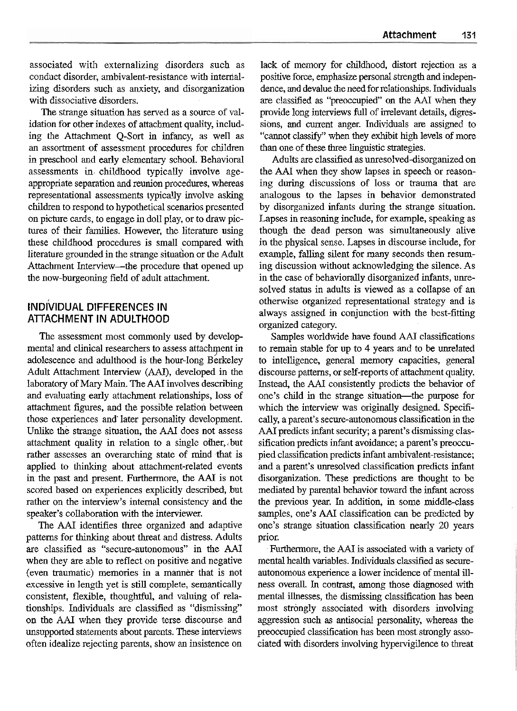associated with externalizing disorders such as conduct disorder, ambivalent-resistance with internalizing disorders such as anxiety, and disorganization with dissociative disorders.

The strange situation has served as a source of validation for other indexes of attachment quality, including the Attachment Q-Sort in infancy, as well as an assortment of assessment procedures for children in preschool and early elementary school. Behavioral assessments in childhood typically involve ageappropriate separation and reunion procedures, whereas representational assessments typically involve asking children to respond to hypothetical scenarios presented on picture cards, to engage in doll play, or to draw pictures of their families. However, the literature using these childhood procedures is small compared with literature grounded in the strange situation or the Adult Attachment Interview-the procedure that opened up the now-burgeoning field of adult attachment.

## **INDI'VIDUAL DIFFERENCES IN ATACHMENT IN ADULTHOOD**

The assessment most commonly used by developmental and clinical researchers to assess attachment in adolescence and adulthood is the hour-long Berkeley Adult Attachment Interview (AAI), developed in the laboratory of Mary Main. The AAI involves describing and evaluating early attachment relationships, loss of attachment figures, and the possible relation between those experiences and' later personality development. Unlike the strange situation, the AAI does not assess attachment quality in relation to a single other, but rather assesses an overarching state of mind that is applied to thinking about attachment-related events in the past and present. Furthermore, the **AAI** is not scored based on experiences explicitly described, but rather on the interview's internal consistency and the speaker's collaboration with the interviewer.

The **AAI** identifies three organized and adaptive patterns for thinking about threat and distress. Adults are classified as "secure-autonomous" in the **AAI**  when they are able to reflect on positive and negative (even traumatic) memories in a manner that is not excessive in length yet is still complete, semantically consistent, flexible, thoughtful, and valuing of relationships. Individuals are classified as "dismissing" on the **AAI** when they provide terse discourse and unsupported statements about parents. These interviews often idealize rejecting parents, show an insistence on

lack of memory for childhood, distort rejection as a positive force, emphasize personal strength and independence, and devalue the need for relationships. Individuals are classified as "preoccupied" on the AAI when they provide long interviews full of irrelevant details, digressions, and current anger. Individuals are assigned to "cannot classify" when they exhibit high levels of more than one of these three linguistic strategies.

Adults are classified as unresolved-disorganized on the AAI when they show lapses in speech or reasoning during discussions of loss or trauma that are analogous to the lapses in behavior demonstrated by disorganized infants during the strange situation. Lapses in reasoning include, for example, speaking as though the dead person was simultaneously alive in the physical sense. Lapses in discourse include, for example, falling silent for many seconds then resuming discussion without acknowledging the silence. As in the case of behaviorally disorganized infants, unresolved status in adults is viewed as a collapse of an otherwise organized representational strategy and is always assigned in conjunction with the best-fitting organized category.

Samples worldwide have found AAI classifications to remain stable for up to 4 years and to be unrelated to intelligence, general memory capacities, general discourse patterns, or self-reports of attachment quality. Instead, the **AAI** consistently predicts the behavior of one's child in the strange situation-the purpose for which the interview was originally designed. Specifically, a parent's secure-autonomous classification in the **AAI** predicts infant security; a parent's dismissing classification predicts infant avoidance; a parent's preoccupied classification predicts infant ambivalent-resistance; and a parent's unresolved classification predicts infant disorganization. These predictions are thought to be mediated by parental behavior toward the infant across the previous year. In addition, in some middle-class samples, one's AAI classification can be predicted by one's strange situation classification nearly 20 years prior.

Furthermore, the AAI is associated with a variety of mental health variables. Individuals classified as secureautonomous experience a lower incidence of mental illness overall. In contrast, among those diagnosed with mental iUnesses, the dismissing classification has been most strongly associated with disorders involving aggression such as antisocial personality, whereas the preoccupied classification has been most strongly associated with disorders involving hypervigilence to threat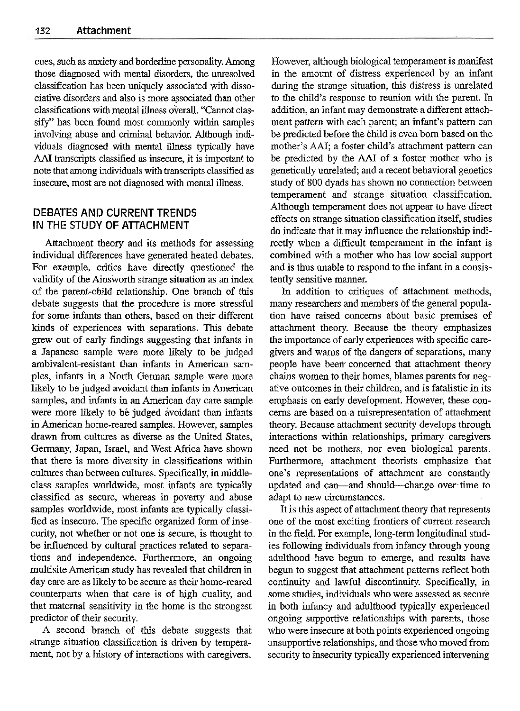cues, such as anxiety and borderline personality. Among those diagnosed with mental disorders, the unresolved classification has been uniquely associated with dissociative disorders and also is more associated than other classifications with mental iUness oterall. "Cannot classify" has been found most commonly within samples involving abuse and criminal behavior. Although individuals diagnosed with mental illness typically have **AAI** transcripts classified as insecure, it is important to note that among individuals with transcripts classified as insecure, most are not diagnosed with mental illness.

## DEBATES AND CURRENT TRENDS IN THE STUDY **OF** ATTACHMENT

Attachment theory and its methods for assessing individual differences have generated heated debates. For example, critics have directly questioned the validity of the Ainsworth strange situation as an index of the parent-child relationship. One branch of this debate suggests that the procedure is more stressful for some infants than others, based on their different kinds of experiences with separations. This debate grew out of early findings suggesting that infants in a Japanese sample were more likely to be judged ambivalent-resistant than infants in American samples, infants in a North German sample were more likely to be judged avoidant than infants in American samples, and infants in an American day care sample were more likely to be judged avoidant than infants in American home-reared samples. However, samples drawn from cultures as diverse as the United States, Germany, Japan, Israel, and West Africa have shown that there is more diversity in classifications within cultures than between cultures. Specifically, in middleclass samples worldwide, most infants are typically classified as secure, whereas in poverty and abuse samples worldwide, most infants are typically classified as insecure. The specific organized form of insecurity, not whether or not one is secure, is thought to be influenced by cultural practices related to separations and independence. Furthermore, an ongoing multisite American study has revealed that children in day care are as likely to be secure as their home-reared counterparts when that care is of high quality, and that maternal sensitivity in the home is the strongest predictor of their security.

A second branch of this debate suggests that strange situation classification is driven by temperament, not by a history of interactions with caregivers.

However, although biological temperament is manifest in the amount of distress experienced by an infant during the strange situation, this distress is unrelated to the child's response to reunion with the parent. In addition, an infant may demonstrate a different attachment pattern with each parent; an infant's pattern can be predicted before the child is even born based on the mother's **AAI;** a foster child's attachment pattern can be predicted by the AAI of a foster mother who is genetically unrelated; and a recent behavioral genetics study of 800 dyads has shown no connection between temperament and strange situation classification. Although temperament does not appear to have direct effects on strange situation classification itself, studies do indicate that it may influence the relationship indirectly when a difficult temperament in the infant is combined with a mother who has low social support and is thus unable to respond to the infant in a consistently sensitive manner.

In addition to critiques of attachment methods, many researchers and members of the general population have raised concerns about basic premises of attachment theory. Because the theory emphasizes the importance of early experiences with specific caregivers and warns of the dangers of separations, many people have beer concerned that attachment theory chains women to their homes, blames parents for negative outcomes in their children, and is fatalistic in its emphasis on early development. However, these concerns are based on a misrepresentation of attachment theory. Because attachment security develops through interactions within relationships, primary caregivers need not be mothers, nor even biological parents. Furthermore, attachment theorists emphasize that one's representations of attachment are constantly updated and can-and should--change over time to adapt to new circumstances.

It is this aspect of attachment theory that represents one of the most exciting frontiers of current research in the field. For example, long-term longitudinal studies following individuals from infancy through young adulthood have begun to emerge, and results have begun to suggest that attachment patterns reflect both continuity and lawful discontinuity. Specifically, in some studies, individuals who were assessed as secure in both infancy and adulthood typically experienced ongoing supportive relationships with parents, those who were insecure at both points experienced ongoing unsupportive relationships, and those who moved from security to insecurity typically experienced intervening